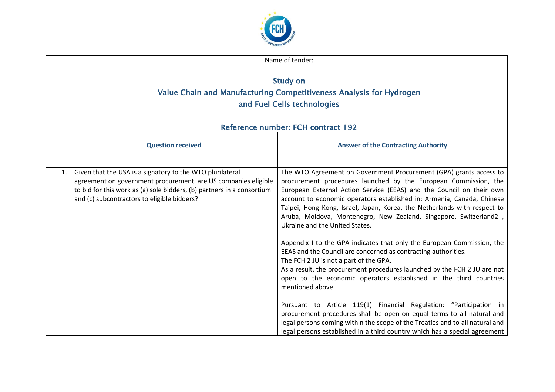

|    | Name of tender:                                                                                                                                                                                                                                      |                                                                                                                                                                                                                                                                                                                                                                                                                                                                                                                                                                                                                                                                                                                                                                                                                                                                                                                                                                                                                                                                                                                                                     |
|----|------------------------------------------------------------------------------------------------------------------------------------------------------------------------------------------------------------------------------------------------------|-----------------------------------------------------------------------------------------------------------------------------------------------------------------------------------------------------------------------------------------------------------------------------------------------------------------------------------------------------------------------------------------------------------------------------------------------------------------------------------------------------------------------------------------------------------------------------------------------------------------------------------------------------------------------------------------------------------------------------------------------------------------------------------------------------------------------------------------------------------------------------------------------------------------------------------------------------------------------------------------------------------------------------------------------------------------------------------------------------------------------------------------------------|
|    | <b>Study on</b><br>Value Chain and Manufacturing Competitiveness Analysis for Hydrogen<br>and Fuel Cells technologies                                                                                                                                |                                                                                                                                                                                                                                                                                                                                                                                                                                                                                                                                                                                                                                                                                                                                                                                                                                                                                                                                                                                                                                                                                                                                                     |
|    | Reference number: FCH contract 192                                                                                                                                                                                                                   |                                                                                                                                                                                                                                                                                                                                                                                                                                                                                                                                                                                                                                                                                                                                                                                                                                                                                                                                                                                                                                                                                                                                                     |
|    | <b>Question received</b>                                                                                                                                                                                                                             | <b>Answer of the Contracting Authority</b>                                                                                                                                                                                                                                                                                                                                                                                                                                                                                                                                                                                                                                                                                                                                                                                                                                                                                                                                                                                                                                                                                                          |
| 1. | Given that the USA is a signatory to the WTO plurilateral<br>agreement on government procurement, are US companies eligible<br>to bid for this work as (a) sole bidders, (b) partners in a consortium<br>and (c) subcontractors to eligible bidders? | The WTO Agreement on Government Procurement (GPA) grants access to<br>procurement procedures launched by the European Commission, the<br>European External Action Service (EEAS) and the Council on their own<br>account to economic operators established in: Armenia, Canada, Chinese<br>Taipei, Hong Kong, Israel, Japan, Korea, the Netherlands with respect to<br>Aruba, Moldova, Montenegro, New Zealand, Singapore, Switzerland2,<br>Ukraine and the United States.<br>Appendix I to the GPA indicates that only the European Commission, the<br>EEAS and the Council are concerned as contracting authorities.<br>The FCH 2 JU is not a part of the GPA.<br>As a result, the procurement procedures launched by the FCH 2 JU are not<br>open to the economic operators established in the third countries<br>mentioned above.<br>Pursuant to Article 119(1) Financial Regulation: "Participation in<br>procurement procedures shall be open on equal terms to all natural and<br>legal persons coming within the scope of the Treaties and to all natural and<br>legal persons established in a third country which has a special agreement |